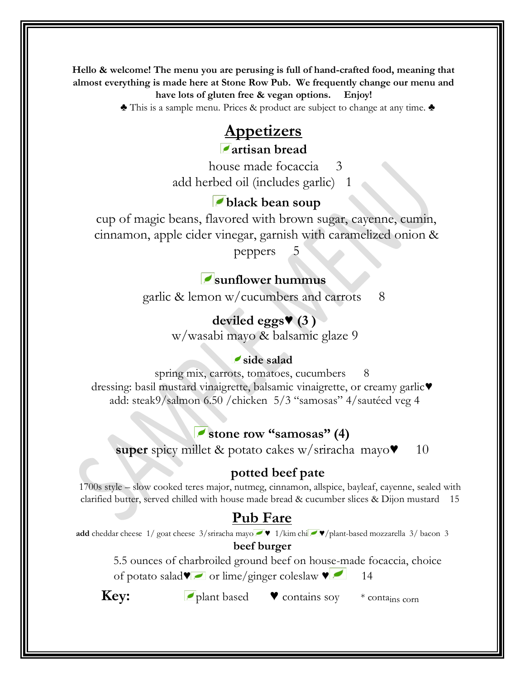**Hello & welcome! The menu you are perusing is full of hand-crafted food, meaning that almost everything is made here at Stone Row Pub. We frequently change our menu and have lots of gluten free & vegan options. Enjoy!**

♣ This is a sample menu. Prices & product are subject to change at any time. ♣

# **Appetizers**

**artisan bread** 

house made focaccia 3 add herbed oil (includes garlic) 1

## **black bean soup**

cup of magic beans, flavored with brown sugar, cayenne, cumin, cinnamon, apple cider vinegar, garnish with caramelized onion &

peppers 5

# **sunflower hummus**

garlic  $\&$  lemon w/cucumbers and carrots  $8$ 

## **deviled eggs**♥ **(3 )**

w/wasabi mayo & balsamic glaze 9

## **side salad**

spring mix, carrots, tomatoes, cucumbers 8 dressing: basil mustard vinaigrette, balsamic vinaigrette, or creamy garlic♥ add: steak9/salmon 6.50 /chicken 5/3 "samosas" 4/sautéed veg 4

## **stone row "samosas" (4)**

**super** spicy millet & potato cakes w/sriracha mayo♥ 10

## **potted beef pate**

1700s style – slow cooked teres major, nutmeg, cinnamon, allspice, bayleaf, cayenne, sealed with clarified butter, served chilled with house made bread & cucumber slices & Dijon mustard 15

# **Pub Fare**

**add** cheddar cheese 1/ goat cheese 3/sriracha mayo  $\blacktriangleright$  1/kim chi  $\blacktriangleright$   $\blacktriangleright$ /plant-based mozzarella 3/ bacon 3

## **beef burger**

5.5 ounces of charbroiled ground beef on house-made focaccia, choice of potato salad $\blacktriangledown$  or lime/ginger coleslaw  $\blacktriangledown$  14

**Key:** ► **plant based** ► contains soy  $*$  contains corn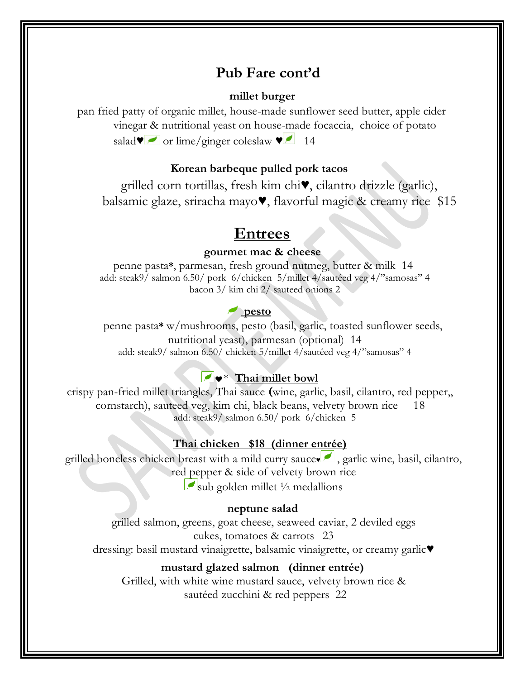## **Pub Fare cont'd**

## **millet burger**

pan fried patty of organic millet, house-made sunflower seed butter, apple cider vinegar & nutritional yeast on house-made focaccia, choice of potato salad $\blacktriangledown$  or lime/ginger coleslaw  $\blacktriangledown$  14

## **Korean barbeque pulled pork tacos**

grilled corn tortillas, fresh kim chi♥, cilantro drizzle (garlic), balsamic glaze, sriracha mayo♥, flavorful magic & creamy rice \$15

## **Entrees**

### **gourmet mac & cheese**

penne pasta**\***, parmesan, fresh ground nutmeg, butter & milk 14 add: steak9/ salmon 6.50/ pork 6/chicken 5/millet 4/sautéed veg 4/"samosas" 4 bacon 3/ kim chi 2/ sauteed onions 2

### **pesto**

penne pasta**\*** w/mushrooms, pesto (basil, garlic, toasted sunflower seeds, nutritional yeast), parmesan (optional) 14 add: steak9/ salmon 6.50/ chicken 5/millet 4/sautéed veg 4/"samosas" 4

## ♥\* **Thai millet bowl**

crispy pan-fried millet triangles, Thai sauce (wine, garlic, basil, cilantro, red pepper,, cornstarch), sauteed veg, kim chi, black beans, velvety brown rice 18 add: steak9/ salmon 6.50/ pork 6/chicken 5

### **Thai chicken \$18 (dinner entrée)**

grilled boneless chicken breast with a mild curry sauce $\bullet$ , garlic wine, basil, cilantro, red pepper & side of velvety brown rice sub golden millet  $\frac{1}{2}$  medallions

### **neptune salad**

grilled salmon, greens, goat cheese, seaweed caviar, 2 deviled eggs cukes, tomatoes & carrots 23 dressing: basil mustard vinaigrette, balsamic vinaigrette, or creamy garlic♥

### **mustard glazed salmon (dinner entrée)**

Grilled, with white wine mustard sauce, velvety brown rice & sautéed zucchini & red peppers 22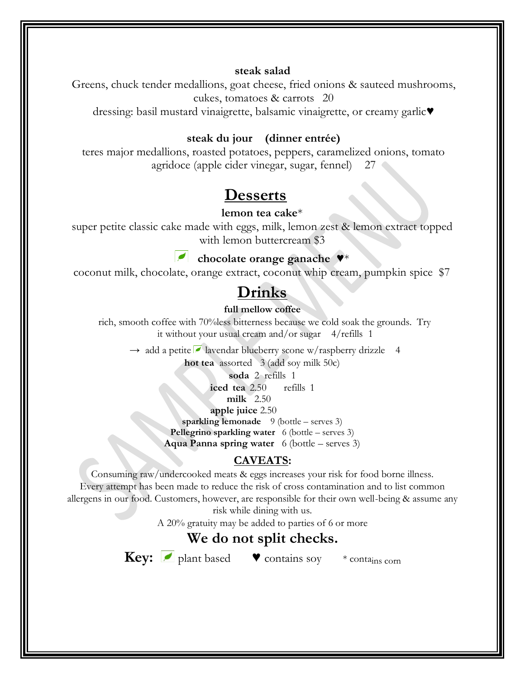## **steak salad**

Greens, chuck tender medallions, goat cheese, fried onions & sauteed mushrooms, cukes, tomatoes & carrots 20

dressing: basil mustard vinaigrette, balsamic vinaigrette, or creamy garlic♥

## **steak du jour (dinner entrée)**

teres major medallions, roasted potatoes, peppers, caramelized onions, tomato agridoce (apple cider vinegar, sugar, fennel) 27

# **Desserts**

### **lemon tea cake**\*

super petite classic cake made with eggs, milk, lemon zest & lemon extract topped with lemon buttercream \$3

## **chocolate orange ganache** ♥\*

coconut milk, chocolate, orange extract, coconut whip cream, pumpkin spice \$7

# **Drinks**

**full mellow coffee** 

rich, smooth coffee with 70%less bitterness because we cold soak the grounds. Try it without your usual cream and/or sugar 4/refills 1

 $\rightarrow$  add a petite **lavendar blueberry scone w/raspberry drizzle** 4

**hot tea** assorted 3 (add soy milk 50c)

**soda** 2 refills 1

**iced tea** 2.50 refills 1

**milk** 2.50

**apple juice** 2.50

**sparkling lemonade** 9 (bottle – serves 3)

**Pellegrino sparkling water** 6 (bottle – serves 3)

**Aqua Panna spring water** 6 (bottle – serves 3)

## **CAVEATS:**

Consuming raw/undercooked meats & eggs increases your risk for food borne illness.

Every attempt has been made to reduce the risk of cross contamination and to list common allergens in our food. Customers, however, are responsible for their own well-being & assume any

risk while dining with us.

A 20% gratuity may be added to parties of 6 or more

## **We do not split checks.**

Key: *I* plant based ♥ contains soy \* contains com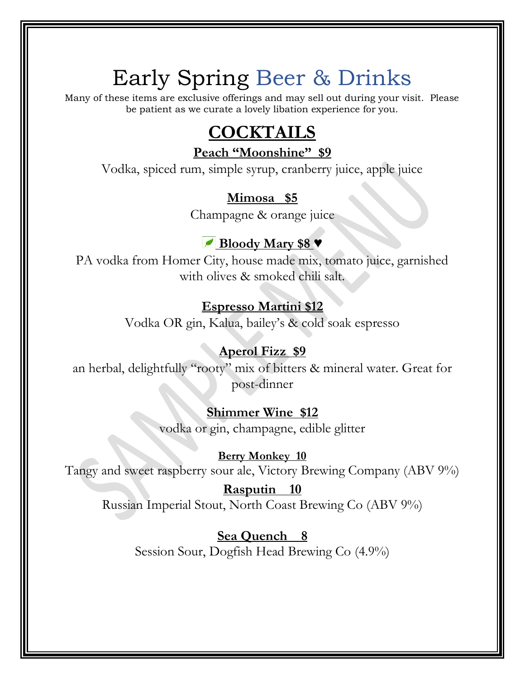# Early Spring Beer & Drinks

Many of these items are exclusive offerings and may sell out during your visit. Please be patient as we curate a lovely libation experience for you.

# **COCKTAILS**

**Peach "Moonshine" \$9**

Vodka, spiced rum, simple syrup, cranberry juice, apple juice

# **Mimosa \$5**

Champagne & orange juice

# **Bloody Mary \$8** ♥

PA vodka from Homer City, house made mix, tomato juice, garnished with olives & smoked chili salt.

# **Espresso Martini \$12**

Vodka OR gin, Kalua, bailey's & cold soak espresso

# **Aperol Fizz \$9**

an herbal, delightfully "rooty" mix of bitters & mineral water. Great for post-dinner

# **Shimmer Wine \$12**

vodka or gin, champagne, edible glitter

## **Berry Monkey 10** Tangy and sweet raspberry sour ale, Victory Brewing Company (ABV 9%)

# **Rasputin 10**

Russian Imperial Stout, North Coast Brewing Co (ABV 9%)

**Sea Quench 8** Session Sour, Dogfish Head Brewing Co (4.9%)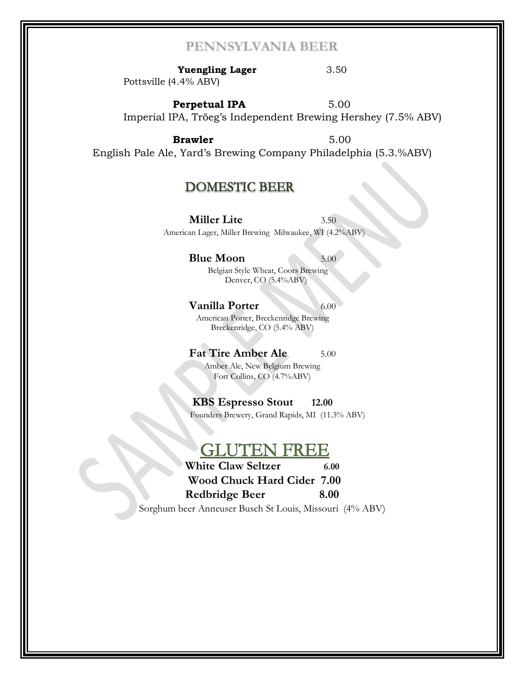## PENNSYLVANIA BEER

**Yuengling Lager** 3.50 Pottsville (4.4% ABV)

**Perpetual IPA** 5.00 Imperial IPA, Tröeg's Independent Brewing Hershey (7.5% ABV)

**Brawler** 5.00 English Pale Ale, Yard's Brewing Company Philadelphia (5.3.%ABV)

## **DOMESTIC BEER**

**Miller Lite** 3.50 American Lager, Miller Brewing Milwaukee, WI (4.2%ABV)

#### **Blue Moon** 5.00

Belgian Style Wheat, Coors Brewing Denver, CO (5.4%ABV)

#### **Vanilla Porter** 6.00

American Porter, Breckenridge Brewing Breckenridge, CO (5.4% ABV)

### **Fat Tire Amber Ale** 5.00

Amber Ale, New Belgium Brewing Fort Collins, CO (4.7%ABV)

**KBS Espresso Stout 12.00** Founders Brewery, Grand Rapids, MI (11.3% ABV)

## $\dot{\mathbf{r}}$

**White Claw Seltzer 6.00 Wood Chuck Hard Cider 7.00 Redbridge Beer 8.00** 

Sorghum beer Anneuser Busch St Louis, Missouri (4% ABV)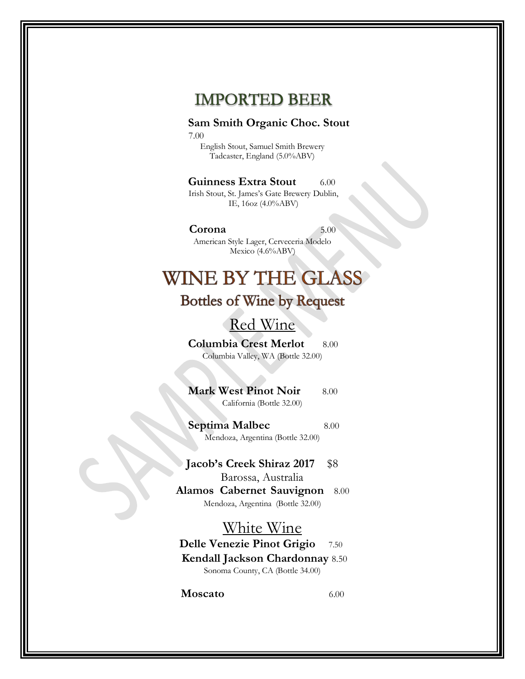# **IMPORTED BEER**

## **Sam Smith Organic Choc. Stout**

7.00

English Stout, Samuel Smith Brewery Tadcaster, England (5.0%ABV)

### **Guinness Extra Stout** 6.00

Irish Stout, St. James's Gate Brewery Dublin, IE, 16oz (4.0%ABV)

### **Corona** 5.00

American Style Lager, Cerveceria Modelo Mexico (4.6%ABV)

# **WINE BY THE GLASS**

# **Bottles of Wine by Request**

# Red Wine

**Columbia Crest Merlot** 8.00 Columbia Valley, WA (Bottle 32.00)

**Mark West Pinot Noir** 8.00 California (Bottle 32.00)

**Septima Malbec** 8.00 Mendoza, Argentina (Bottle 32.00)

**Jacob's Creek Shiraz 2017** \$8 Barossa, Australia

**Alamos Cabernet Sauvignon** 8.00 Mendoza, Argentina (Bottle 32.00)

## White Wine

**Delle Venezie Pinot Grigio** 7.50 **Kendall Jackson Chardonnay** 8.50 Sonoma County, CA (Bottle 34.00)

**Moscato** 6.00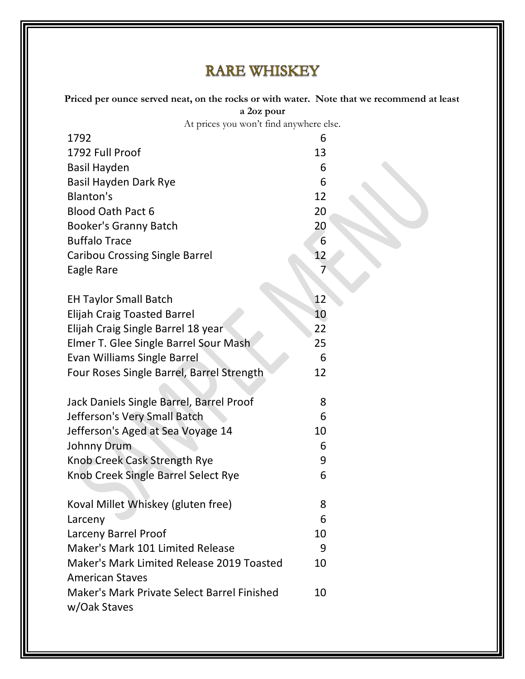# **RARE WHISKEY**

**Priced per ounce served neat, on the rocks or with water. Note that we recommend at least a 2oz pour** 

At prices you won't find anywhere else.

| 1792                                        | 6  |
|---------------------------------------------|----|
| 1792 Full Proof                             | 13 |
| <b>Basil Hayden</b>                         | 6  |
| <b>Basil Hayden Dark Rye</b>                | 6  |
| Blanton's                                   | 12 |
| <b>Blood Oath Pact 6</b>                    | 20 |
| <b>Booker's Granny Batch</b>                | 20 |
| <b>Buffalo Trace</b>                        | 6  |
| <b>Caribou Crossing Single Barrel</b>       | 12 |
| Eagle Rare                                  | 7  |
|                                             |    |
| <b>EH Taylor Small Batch</b>                | 12 |
| <b>Elijah Craig Toasted Barrel</b>          | 10 |
| Elijah Craig Single Barrel 18 year          | 22 |
| Elmer T. Glee Single Barrel Sour Mash       | 25 |
| Evan Williams Single Barrel                 | 6  |
| Four Roses Single Barrel, Barrel Strength   | 12 |
|                                             |    |
| Jack Daniels Single Barrel, Barrel Proof    | 8  |
| Jefferson's Very Small Batch                | 6  |
| Jefferson's Aged at Sea Voyage 14           | 10 |
| Johnny Drum                                 | 6  |
| Knob Creek Cask Strength Rye                | 9  |
| Knob Creek Single Barrel Select Rye         | 6  |
|                                             |    |
| Koval Millet Whiskey (gluten free)          | 8  |
| Larceny                                     | 6  |
| Larceny Barrel Proof                        | 10 |
| Maker's Mark 101 Limited Release            | 9  |
| Maker's Mark Limited Release 2019 Toasted   | 10 |
| <b>American Staves</b>                      |    |
| Maker's Mark Private Select Barrel Finished | 10 |
| w/Oak Staves                                |    |
|                                             |    |